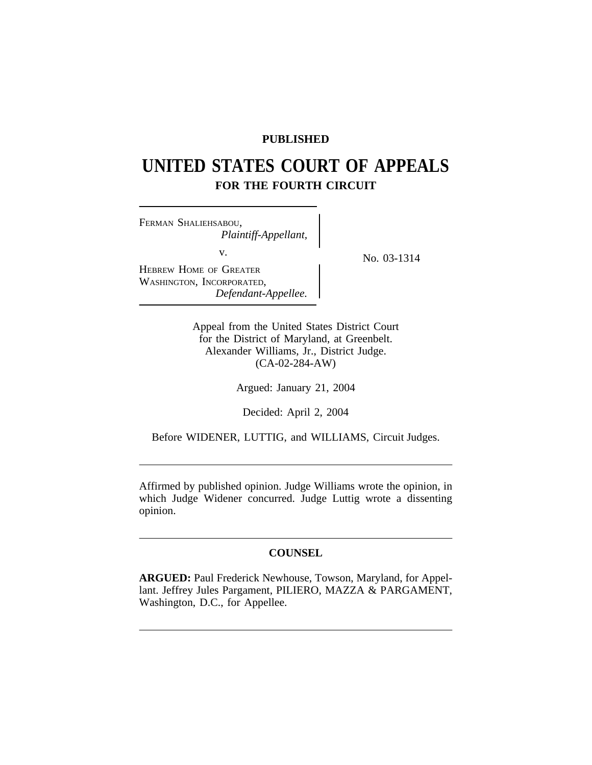# **PUBLISHED**

# **UNITED STATES COURT OF APPEALS FOR THE FOURTH CIRCUIT**

<sup>F</sup>ERMAN SHALIEHSABOU, *Plaintiff-Appellant,* v.  $N_0$ , 03-1314 HEBREW HOME OF GREATER WASHINGTON, INCORPORATED, *Defendant-Appellee.*

Appeal from the United States District Court for the District of Maryland, at Greenbelt. Alexander Williams, Jr., District Judge. (CA-02-284-AW)

Argued: January 21, 2004

Decided: April 2, 2004

Before WIDENER, LUTTIG, and WILLIAMS, Circuit Judges.

Affirmed by published opinion. Judge Williams wrote the opinion, in which Judge Widener concurred. Judge Luttig wrote a dissenting opinion.

# **COUNSEL**

**ARGUED:** Paul Frederick Newhouse, Towson, Maryland, for Appellant. Jeffrey Jules Pargament, PILIERO, MAZZA & PARGAMENT, Washington, D.C., for Appellee.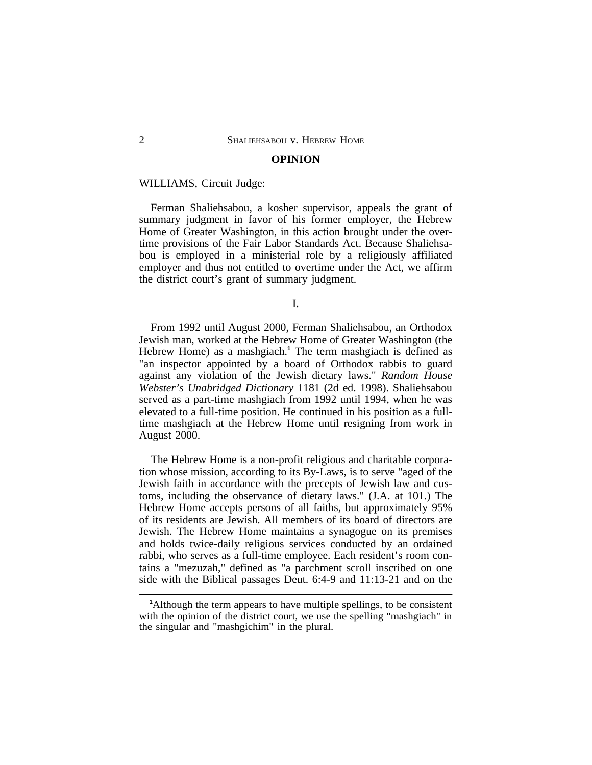## **OPINION**

#### WILLIAMS, Circuit Judge:

Ferman Shaliehsabou, a kosher supervisor, appeals the grant of summary judgment in favor of his former employer, the Hebrew Home of Greater Washington, in this action brought under the overtime provisions of the Fair Labor Standards Act. Because Shaliehsabou is employed in a ministerial role by a religiously affiliated employer and thus not entitled to overtime under the Act, we affirm the district court's grant of summary judgment.

I.

From 1992 until August 2000, Ferman Shaliehsabou, an Orthodox Jewish man, worked at the Hebrew Home of Greater Washington (the Hebrew Home) as a mashgiach.**<sup>1</sup>** The term mashgiach is defined as "an inspector appointed by a board of Orthodox rabbis to guard against any violation of the Jewish dietary laws." *Random House Webster's Unabridged Dictionary* 1181 (2d ed. 1998). Shaliehsabou served as a part-time mashgiach from 1992 until 1994, when he was elevated to a full-time position. He continued in his position as a fulltime mashgiach at the Hebrew Home until resigning from work in August 2000.

The Hebrew Home is a non-profit religious and charitable corporation whose mission, according to its By-Laws, is to serve "aged of the Jewish faith in accordance with the precepts of Jewish law and customs, including the observance of dietary laws." (J.A. at 101.) The Hebrew Home accepts persons of all faiths, but approximately 95% of its residents are Jewish. All members of its board of directors are Jewish. The Hebrew Home maintains a synagogue on its premises and holds twice-daily religious services conducted by an ordained rabbi, who serves as a full-time employee. Each resident's room contains a "mezuzah," defined as "a parchment scroll inscribed on one side with the Biblical passages Deut. 6:4-9 and 11:13-21 and on the

**<sup>1</sup>**Although the term appears to have multiple spellings, to be consistent with the opinion of the district court, we use the spelling "mashgiach" in the singular and "mashgichim" in the plural.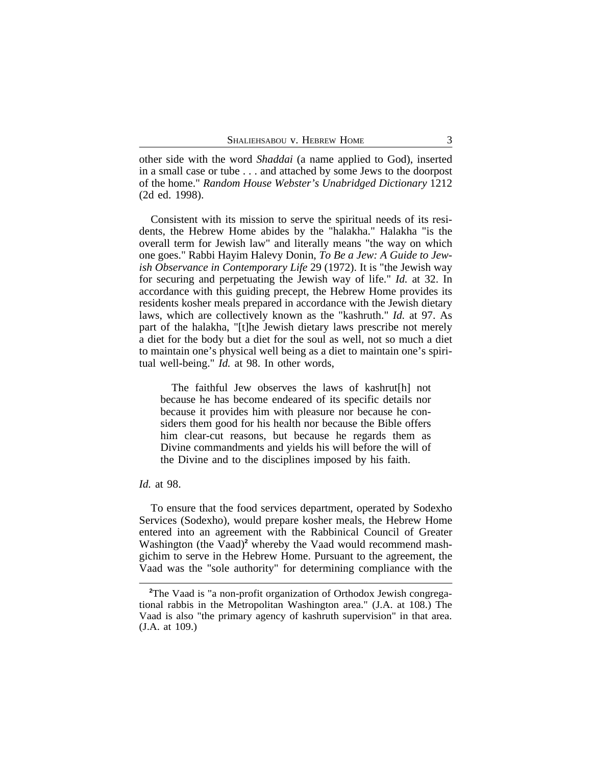other side with the word *Shaddai* (a name applied to God), inserted in a small case or tube . . . and attached by some Jews to the doorpost of the home." *Random House Webster's Unabridged Dictionary* 1212 (2d ed. 1998).

Consistent with its mission to serve the spiritual needs of its residents, the Hebrew Home abides by the "halakha." Halakha "is the overall term for Jewish law" and literally means "the way on which one goes." Rabbi Hayim Halevy Donin, *To Be a Jew: A Guide to Jewish Observance in Contemporary Life* 29 (1972). It is "the Jewish way for securing and perpetuating the Jewish way of life." *Id.* at 32. In accordance with this guiding precept, the Hebrew Home provides its residents kosher meals prepared in accordance with the Jewish dietary laws, which are collectively known as the "kashruth." *Id.* at 97. As part of the halakha, "[t]he Jewish dietary laws prescribe not merely a diet for the body but a diet for the soul as well, not so much a diet to maintain one's physical well being as a diet to maintain one's spiritual well-being." *Id.* at 98. In other words,

The faithful Jew observes the laws of kashrut[h] not because he has become endeared of its specific details nor because it provides him with pleasure nor because he considers them good for his health nor because the Bible offers him clear-cut reasons, but because he regards them as Divine commandments and yields his will before the will of the Divine and to the disciplines imposed by his faith.

## *Id.* at 98.

To ensure that the food services department, operated by Sodexho Services (Sodexho), would prepare kosher meals, the Hebrew Home entered into an agreement with the Rabbinical Council of Greater Washington (the Vaad)<sup>2</sup> whereby the Vaad would recommend mashgichim to serve in the Hebrew Home. Pursuant to the agreement, the Vaad was the "sole authority" for determining compliance with the

**<sup>2</sup>**The Vaad is "a non-profit organization of Orthodox Jewish congregational rabbis in the Metropolitan Washington area." (J.A. at 108.) The Vaad is also "the primary agency of kashruth supervision" in that area. (J.A. at 109.)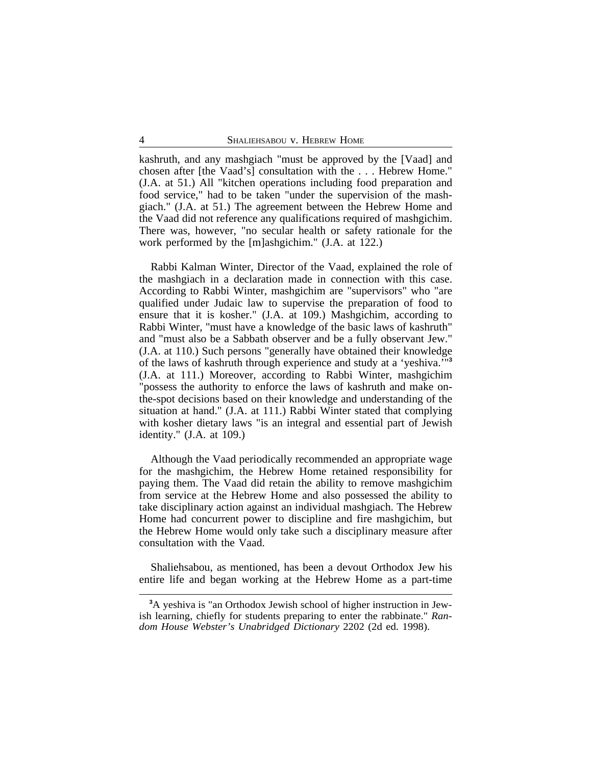kashruth, and any mashgiach "must be approved by the [Vaad] and chosen after [the Vaad's] consultation with the . . . Hebrew Home." (J.A. at 51.) All "kitchen operations including food preparation and food service," had to be taken "under the supervision of the mashgiach." (J.A. at 51.) The agreement between the Hebrew Home and the Vaad did not reference any qualifications required of mashgichim. There was, however, "no secular health or safety rationale for the work performed by the [m]ashgichim." (J.A. at 122.)

Rabbi Kalman Winter, Director of the Vaad, explained the role of the mashgiach in a declaration made in connection with this case. According to Rabbi Winter, mashgichim are "supervisors" who "are qualified under Judaic law to supervise the preparation of food to ensure that it is kosher." (J.A. at 109.) Mashgichim, according to Rabbi Winter, "must have a knowledge of the basic laws of kashruth" and "must also be a Sabbath observer and be a fully observant Jew." (J.A. at 110.) Such persons "generally have obtained their knowledge of the laws of kashruth through experience and study at a 'yeshiva.'"**<sup>3</sup>** (J.A. at 111.) Moreover, according to Rabbi Winter, mashgichim "possess the authority to enforce the laws of kashruth and make onthe-spot decisions based on their knowledge and understanding of the situation at hand." (J.A. at 111.) Rabbi Winter stated that complying with kosher dietary laws "is an integral and essential part of Jewish identity." (J.A. at 109.)

Although the Vaad periodically recommended an appropriate wage for the mashgichim, the Hebrew Home retained responsibility for paying them. The Vaad did retain the ability to remove mashgichim from service at the Hebrew Home and also possessed the ability to take disciplinary action against an individual mashgiach. The Hebrew Home had concurrent power to discipline and fire mashgichim, but the Hebrew Home would only take such a disciplinary measure after consultation with the Vaad.

Shaliehsabou, as mentioned, has been a devout Orthodox Jew his entire life and began working at the Hebrew Home as a part-time

**<sup>3</sup>**A yeshiva is "an Orthodox Jewish school of higher instruction in Jewish learning, chiefly for students preparing to enter the rabbinate." *Random House Webster's Unabridged Dictionary* 2202 (2d ed. 1998).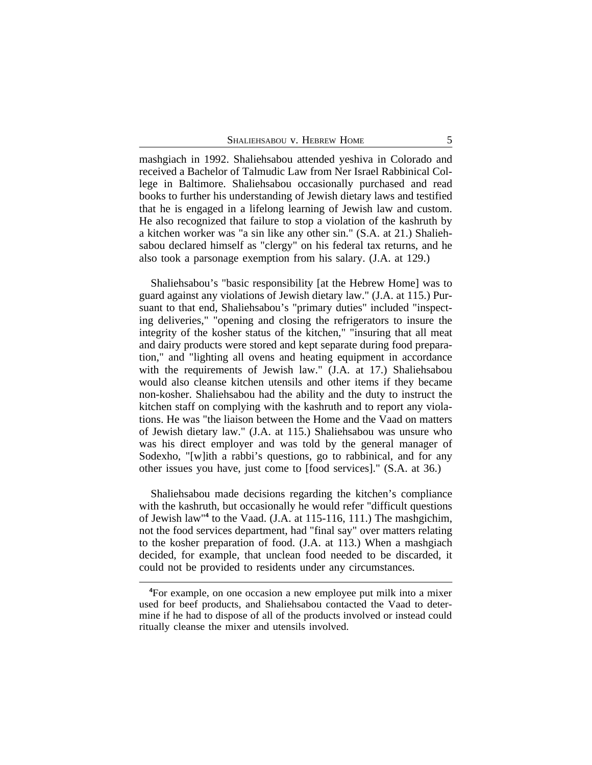mashgiach in 1992. Shaliehsabou attended yeshiva in Colorado and received a Bachelor of Talmudic Law from Ner Israel Rabbinical College in Baltimore. Shaliehsabou occasionally purchased and read books to further his understanding of Jewish dietary laws and testified that he is engaged in a lifelong learning of Jewish law and custom. He also recognized that failure to stop a violation of the kashruth by a kitchen worker was "a sin like any other sin." (S.A. at 21.) Shaliehsabou declared himself as "clergy" on his federal tax returns, and he also took a parsonage exemption from his salary. (J.A. at 129.)

Shaliehsabou's "basic responsibility [at the Hebrew Home] was to guard against any violations of Jewish dietary law." (J.A. at 115.) Pursuant to that end, Shaliehsabou's "primary duties" included "inspecting deliveries," "opening and closing the refrigerators to insure the integrity of the kosher status of the kitchen," "insuring that all meat and dairy products were stored and kept separate during food preparation," and "lighting all ovens and heating equipment in accordance with the requirements of Jewish law." (J.A. at 17.) Shaliehsabou would also cleanse kitchen utensils and other items if they became non-kosher. Shaliehsabou had the ability and the duty to instruct the kitchen staff on complying with the kashruth and to report any violations. He was "the liaison between the Home and the Vaad on matters of Jewish dietary law." (J.A. at 115.) Shaliehsabou was unsure who was his direct employer and was told by the general manager of Sodexho, "[w]ith a rabbi's questions, go to rabbinical, and for any other issues you have, just come to [food services]." (S.A. at 36.)

Shaliehsabou made decisions regarding the kitchen's compliance with the kashruth, but occasionally he would refer "difficult questions of Jewish law"**<sup>4</sup>** to the Vaad. (J.A. at 115-116, 111.) The mashgichim, not the food services department, had "final say" over matters relating to the kosher preparation of food. (J.A. at 113.) When a mashgiach decided, for example, that unclean food needed to be discarded, it could not be provided to residents under any circumstances.

**<sup>4</sup>**For example, on one occasion a new employee put milk into a mixer used for beef products, and Shaliehsabou contacted the Vaad to determine if he had to dispose of all of the products involved or instead could ritually cleanse the mixer and utensils involved.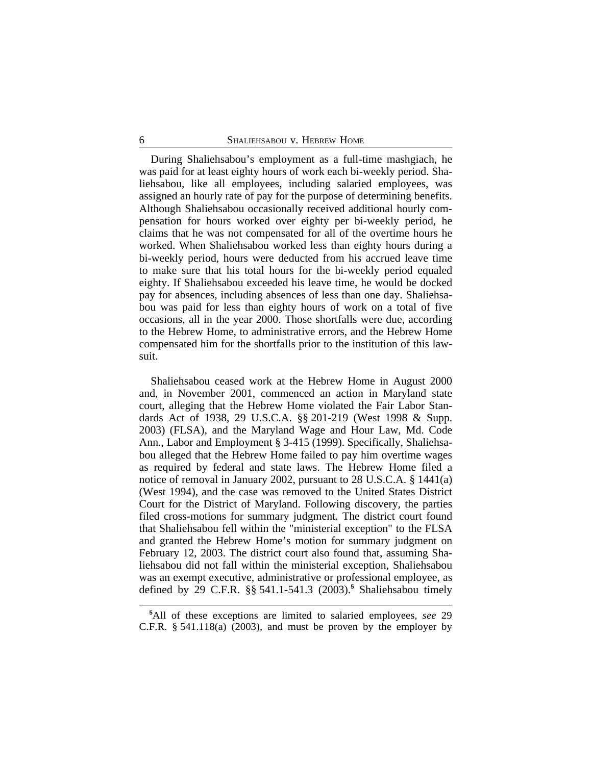During Shaliehsabou's employment as a full-time mashgiach, he was paid for at least eighty hours of work each bi-weekly period. Shaliehsabou, like all employees, including salaried employees, was assigned an hourly rate of pay for the purpose of determining benefits. Although Shaliehsabou occasionally received additional hourly compensation for hours worked over eighty per bi-weekly period, he claims that he was not compensated for all of the overtime hours he worked. When Shaliehsabou worked less than eighty hours during a bi-weekly period, hours were deducted from his accrued leave time to make sure that his total hours for the bi-weekly period equaled eighty. If Shaliehsabou exceeded his leave time, he would be docked pay for absences, including absences of less than one day. Shaliehsabou was paid for less than eighty hours of work on a total of five occasions, all in the year 2000. Those shortfalls were due, according to the Hebrew Home, to administrative errors, and the Hebrew Home compensated him for the shortfalls prior to the institution of this lawsuit.

Shaliehsabou ceased work at the Hebrew Home in August 2000 and, in November 2001, commenced an action in Maryland state court, alleging that the Hebrew Home violated the Fair Labor Standards Act of 1938, 29 U.S.C.A. §§ 201-219 (West 1998 & Supp. 2003) (FLSA), and the Maryland Wage and Hour Law, Md. Code Ann., Labor and Employment § 3-415 (1999). Specifically, Shaliehsabou alleged that the Hebrew Home failed to pay him overtime wages as required by federal and state laws. The Hebrew Home filed a notice of removal in January 2002, pursuant to 28 U.S.C.A. § 1441(a) (West 1994), and the case was removed to the United States District Court for the District of Maryland. Following discovery, the parties filed cross-motions for summary judgment. The district court found that Shaliehsabou fell within the "ministerial exception" to the FLSA and granted the Hebrew Home's motion for summary judgment on February 12, 2003. The district court also found that, assuming Shaliehsabou did not fall within the ministerial exception, Shaliehsabou was an exempt executive, administrative or professional employee, as defined by 29 C.F.R. §§ 541.1-541.3 (2003).**<sup>5</sup>** Shaliehsabou timely

**<sup>5</sup>**All of these exceptions are limited to salaried employees, *see* 29 C.F.R.  $\S$  541.118(a) (2003), and must be proven by the employer by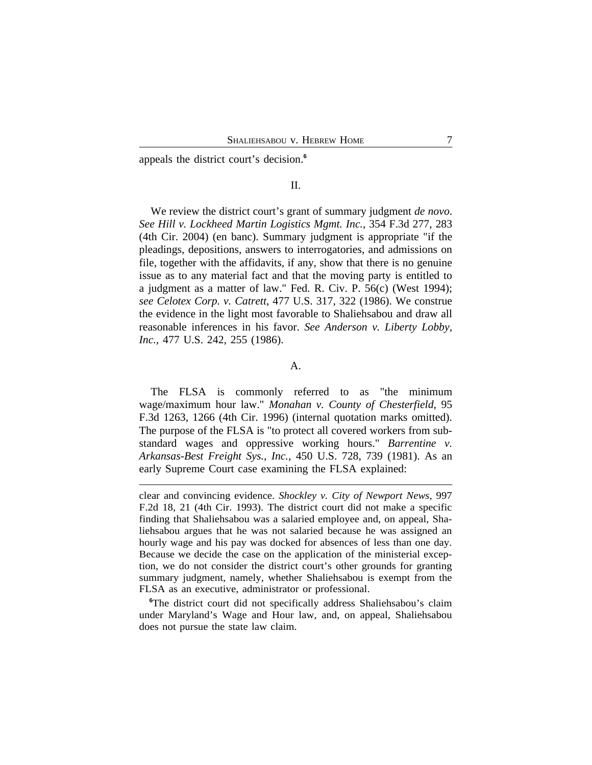appeals the district court's decision.**<sup>6</sup>**

## II.

We review the district court's grant of summary judgment *de novo*. *See Hill v. Lockheed Martin Logistics Mgmt. Inc.*, 354 F.3d 277, 283 (4th Cir. 2004) (en banc). Summary judgment is appropriate "if the pleadings, depositions, answers to interrogatories, and admissions on file, together with the affidavits, if any, show that there is no genuine issue as to any material fact and that the moving party is entitled to a judgment as a matter of law." Fed. R. Civ. P. 56(c) (West 1994); *see Celotex Corp. v. Catrett*, 477 U.S. 317, 322 (1986). We construe the evidence in the light most favorable to Shaliehsabou and draw all reasonable inferences in his favor. *See Anderson v. Liberty Lobby, Inc.*, 477 U.S. 242, 255 (1986).

# A.

The FLSA is commonly referred to as "the minimum wage/maximum hour law." *Monahan v. County of Chesterfield*, 95 F.3d 1263, 1266 (4th Cir. 1996) (internal quotation marks omitted). The purpose of the FLSA is "to protect all covered workers from substandard wages and oppressive working hours." *Barrentine v. Arkansas-Best Freight Sys., Inc.*, 450 U.S. 728, 739 (1981). As an early Supreme Court case examining the FLSA explained:

<sup>6</sup>The district court did not specifically address Shaliehsabou's claim under Maryland's Wage and Hour law, and, on appeal, Shaliehsabou does not pursue the state law claim.

clear and convincing evidence. *Shockley v. City of Newport News*, 997 F.2d 18, 21 (4th Cir. 1993). The district court did not make a specific finding that Shaliehsabou was a salaried employee and, on appeal, Shaliehsabou argues that he was not salaried because he was assigned an hourly wage and his pay was docked for absences of less than one day. Because we decide the case on the application of the ministerial exception, we do not consider the district court's other grounds for granting summary judgment, namely, whether Shaliehsabou is exempt from the FLSA as an executive, administrator or professional.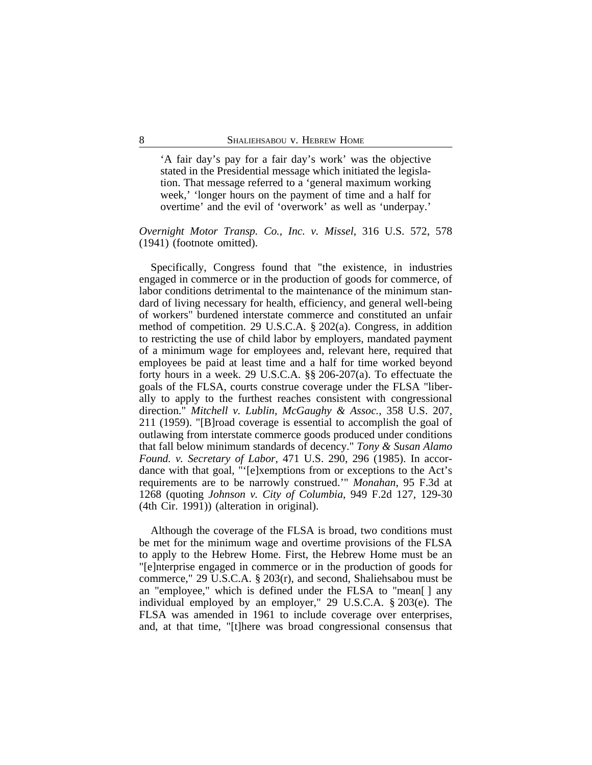'A fair day's pay for a fair day's work' was the objective stated in the Presidential message which initiated the legislation. That message referred to a 'general maximum working week,' 'longer hours on the payment of time and a half for overtime' and the evil of 'overwork' as well as 'underpay.'

## *Overnight Motor Transp. Co., Inc. v. Missel*, 316 U.S. 572, 578 (1941) (footnote omitted).

Specifically, Congress found that "the existence, in industries engaged in commerce or in the production of goods for commerce, of labor conditions detrimental to the maintenance of the minimum standard of living necessary for health, efficiency, and general well-being of workers" burdened interstate commerce and constituted an unfair method of competition. 29 U.S.C.A. § 202(a). Congress, in addition to restricting the use of child labor by employers, mandated payment of a minimum wage for employees and, relevant here, required that employees be paid at least time and a half for time worked beyond forty hours in a week. 29 U.S.C.A. §§ 206-207(a). To effectuate the goals of the FLSA, courts construe coverage under the FLSA "liberally to apply to the furthest reaches consistent with congressional direction." *Mitchell v. Lublin, McGaughy & Assoc.*, 358 U.S. 207, 211 (1959). "[B]road coverage is essential to accomplish the goal of outlawing from interstate commerce goods produced under conditions that fall below minimum standards of decency." *Tony & Susan Alamo Found. v. Secretary of Labor*, 471 U.S. 290, 296 (1985). In accordance with that goal, "'[e]xemptions from or exceptions to the Act's requirements are to be narrowly construed.'" *Monahan*, 95 F.3d at 1268 (quoting *Johnson v. City of Columbia*, 949 F.2d 127, 129-30 (4th Cir. 1991)) (alteration in original).

Although the coverage of the FLSA is broad, two conditions must be met for the minimum wage and overtime provisions of the FLSA to apply to the Hebrew Home. First, the Hebrew Home must be an "[e]nterprise engaged in commerce or in the production of goods for commerce," 29 U.S.C.A. § 203(r), and second, Shaliehsabou must be an "employee," which is defined under the FLSA to "mean[ ] any individual employed by an employer," 29 U.S.C.A. § 203(e). The FLSA was amended in 1961 to include coverage over enterprises, and, at that time, "[t]here was broad congressional consensus that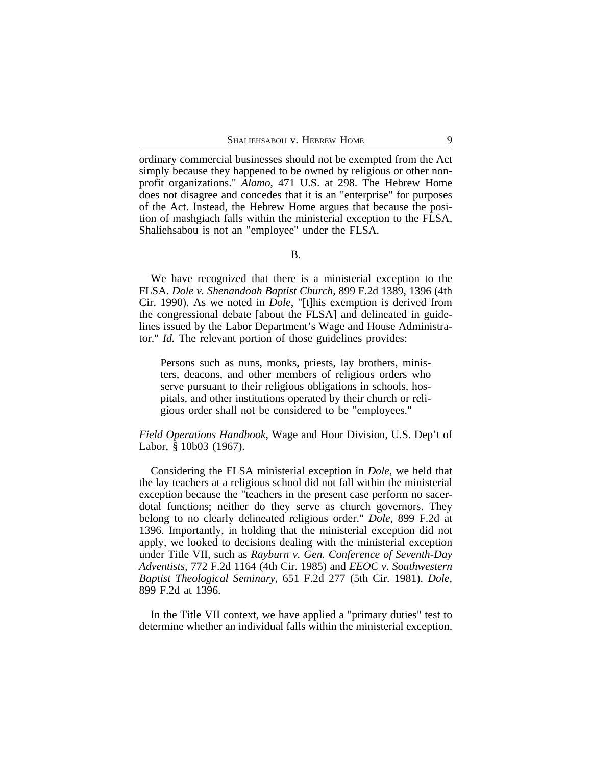ordinary commercial businesses should not be exempted from the Act simply because they happened to be owned by religious or other nonprofit organizations." *Alamo*, 471 U.S. at 298. The Hebrew Home does not disagree and concedes that it is an "enterprise" for purposes of the Act. Instead, the Hebrew Home argues that because the position of mashgiach falls within the ministerial exception to the FLSA, Shaliehsabou is not an "employee" under the FLSA.

We have recognized that there is a ministerial exception to the FLSA. *Dole v. Shenandoah Baptist Church*, 899 F.2d 1389, 1396 (4th Cir. 1990). As we noted in *Dole*, "[t]his exemption is derived from the congressional debate [about the FLSA] and delineated in guidelines issued by the Labor Department's Wage and House Administrator." *Id.* The relevant portion of those guidelines provides:

Persons such as nuns, monks, priests, lay brothers, ministers, deacons, and other members of religious orders who serve pursuant to their religious obligations in schools, hospitals, and other institutions operated by their church or religious order shall not be considered to be "employees."

## *Field Operations Handbook*, Wage and Hour Division, U.S. Dep't of Labor, § 10b03 (1967).

Considering the FLSA ministerial exception in *Dole*, we held that the lay teachers at a religious school did not fall within the ministerial exception because the "teachers in the present case perform no sacerdotal functions; neither do they serve as church governors. They belong to no clearly delineated religious order." *Dole*, 899 F.2d at 1396. Importantly, in holding that the ministerial exception did not apply, we looked to decisions dealing with the ministerial exception under Title VII, such as *Rayburn v. Gen. Conference of Seventh-Day Adventists*, 772 F.2d 1164 (4th Cir. 1985) and *EEOC v. Southwestern Baptist Theological Seminary*, 651 F.2d 277 (5th Cir. 1981). *Dole*, 899 F.2d at 1396.

In the Title VII context, we have applied a "primary duties" test to determine whether an individual falls within the ministerial exception.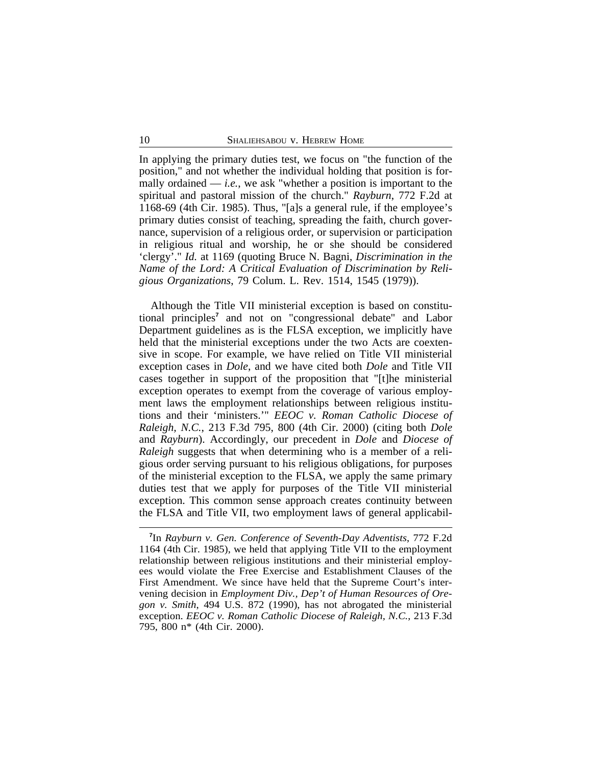In applying the primary duties test, we focus on "the function of the position," and not whether the individual holding that position is formally ordained  $-$  *i.e.*, we ask "whether a position is important to the spiritual and pastoral mission of the church." *Rayburn*, 772 F.2d at 1168-69 (4th Cir. 1985). Thus, "[a]s a general rule, if the employee's primary duties consist of teaching, spreading the faith, church governance, supervision of a religious order, or supervision or participation in religious ritual and worship, he or she should be considered 'clergy'." *Id.* at 1169 (quoting Bruce N. Bagni, *Discrimination in the Name of the Lord: A Critical Evaluation of Discrimination by Religious Organizations*, 79 Colum. L. Rev. 1514, 1545 (1979)).

Although the Title VII ministerial exception is based on constitutional principles**<sup>7</sup>** and not on "congressional debate" and Labor Department guidelines as is the FLSA exception, we implicitly have held that the ministerial exceptions under the two Acts are coextensive in scope. For example, we have relied on Title VII ministerial exception cases in *Dole*, and we have cited both *Dole* and Title VII cases together in support of the proposition that "[t]he ministerial exception operates to exempt from the coverage of various employment laws the employment relationships between religious institutions and their 'ministers.'" *EEOC v. Roman Catholic Diocese of Raleigh, N.C.*, 213 F.3d 795, 800 (4th Cir. 2000) (citing both *Dole* and *Rayburn*). Accordingly, our precedent in *Dole* and *Diocese of Raleigh* suggests that when determining who is a member of a religious order serving pursuant to his religious obligations, for purposes of the ministerial exception to the FLSA, we apply the same primary duties test that we apply for purposes of the Title VII ministerial exception. This common sense approach creates continuity between the FLSA and Title VII, two employment laws of general applicabil-

**<sup>7</sup>** In *Rayburn v. Gen. Conference of Seventh-Day Adventists*, 772 F.2d 1164 (4th Cir. 1985), we held that applying Title VII to the employment relationship between religious institutions and their ministerial employees would violate the Free Exercise and Establishment Clauses of the First Amendment. We since have held that the Supreme Court's intervening decision in *Employment Div., Dep't of Human Resources of Oregon v. Smith*, 494 U.S. 872 (1990), has not abrogated the ministerial exception. *EEOC v. Roman Catholic Diocese of Raleigh, N.C.*, 213 F.3d 795, 800 n\* (4th Cir. 2000).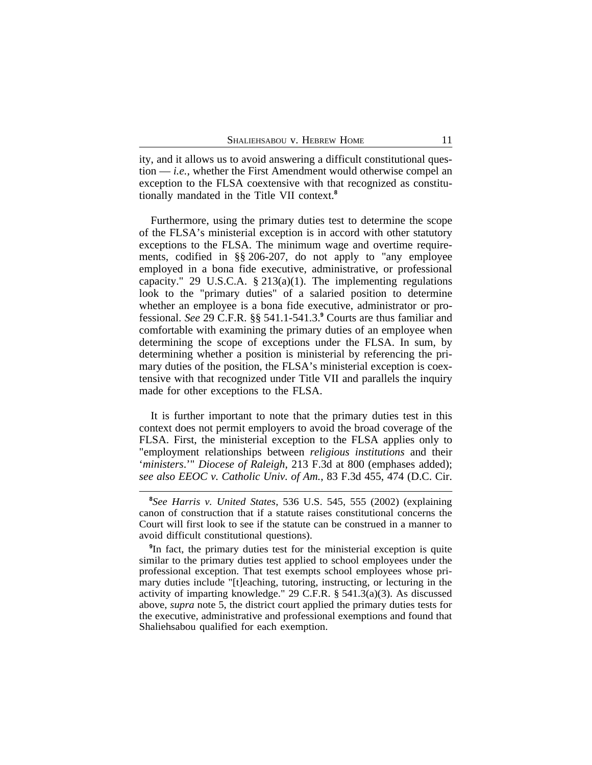ity, and it allows us to avoid answering a difficult constitutional question — *i.e.*, whether the First Amendment would otherwise compel an exception to the FLSA coextensive with that recognized as constitutionally mandated in the Title VII context.**<sup>8</sup>**

Furthermore, using the primary duties test to determine the scope of the FLSA's ministerial exception is in accord with other statutory exceptions to the FLSA. The minimum wage and overtime requirements, codified in §§ 206-207, do not apply to "any employee employed in a bona fide executive, administrative, or professional capacity." 29 U.S.C.A. § 213(a)(1). The implementing regulations look to the "primary duties" of a salaried position to determine whether an employee is a bona fide executive, administrator or professional. *See* 29 C.F.R. §§ 541.1-541.3.**<sup>9</sup>** Courts are thus familiar and comfortable with examining the primary duties of an employee when determining the scope of exceptions under the FLSA. In sum, by determining whether a position is ministerial by referencing the primary duties of the position, the FLSA's ministerial exception is coextensive with that recognized under Title VII and parallels the inquiry made for other exceptions to the FLSA.

It is further important to note that the primary duties test in this context does not permit employers to avoid the broad coverage of the FLSA. First, the ministerial exception to the FLSA applies only to "employment relationships between *religious institutions* and their '*ministers*.'" *Diocese of Raleigh*, 213 F.3d at 800 (emphases added); *see also EEOC v. Catholic Univ. of Am.*, 83 F.3d 455, 474 (D.C. Cir.

**<sup>8</sup>** *See Harris v. United States*, 536 U.S. 545, 555 (2002) (explaining canon of construction that if a statute raises constitutional concerns the Court will first look to see if the statute can be construed in a manner to avoid difficult constitutional questions).

**<sup>9</sup>** In fact, the primary duties test for the ministerial exception is quite similar to the primary duties test applied to school employees under the professional exception. That test exempts school employees whose primary duties include "[t]eaching, tutoring, instructing, or lecturing in the activity of imparting knowledge." 29 C.F.R. § 541.3(a)(3). As discussed above, *supra* note 5, the district court applied the primary duties tests for the executive, administrative and professional exemptions and found that Shaliehsabou qualified for each exemption.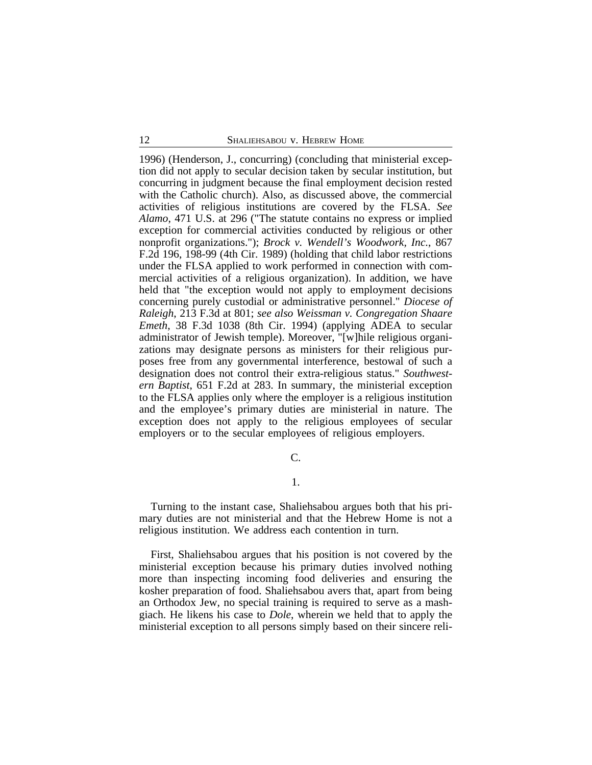1996) (Henderson, J., concurring) (concluding that ministerial exception did not apply to secular decision taken by secular institution, but concurring in judgment because the final employment decision rested with the Catholic church). Also, as discussed above, the commercial activities of religious institutions are covered by the FLSA. *See Alamo*, 471 U.S. at 296 ("The statute contains no express or implied exception for commercial activities conducted by religious or other nonprofit organizations."); *Brock v. Wendell's Woodwork, Inc.*, 867 F.2d 196, 198-99 (4th Cir. 1989) (holding that child labor restrictions under the FLSA applied to work performed in connection with commercial activities of a religious organization). In addition, we have held that "the exception would not apply to employment decisions concerning purely custodial or administrative personnel." *Diocese of Raleigh*, 213 F.3d at 801; *see also Weissman v. Congregation Shaare Emeth*, 38 F.3d 1038 (8th Cir. 1994) (applying ADEA to secular administrator of Jewish temple). Moreover, "[w]hile religious organizations may designate persons as ministers for their religious purposes free from any governmental interference, bestowal of such a designation does not control their extra-religious status." *Southwestern Baptist*, 651 F.2d at 283. In summary, the ministerial exception to the FLSA applies only where the employer is a religious institution and the employee's primary duties are ministerial in nature. The exception does not apply to the religious employees of secular employers or to the secular employees of religious employers.

C.

#### 1.

Turning to the instant case, Shaliehsabou argues both that his primary duties are not ministerial and that the Hebrew Home is not a religious institution. We address each contention in turn.

First, Shaliehsabou argues that his position is not covered by the ministerial exception because his primary duties involved nothing more than inspecting incoming food deliveries and ensuring the kosher preparation of food. Shaliehsabou avers that, apart from being an Orthodox Jew, no special training is required to serve as a mashgiach. He likens his case to *Dole*, wherein we held that to apply the ministerial exception to all persons simply based on their sincere reli-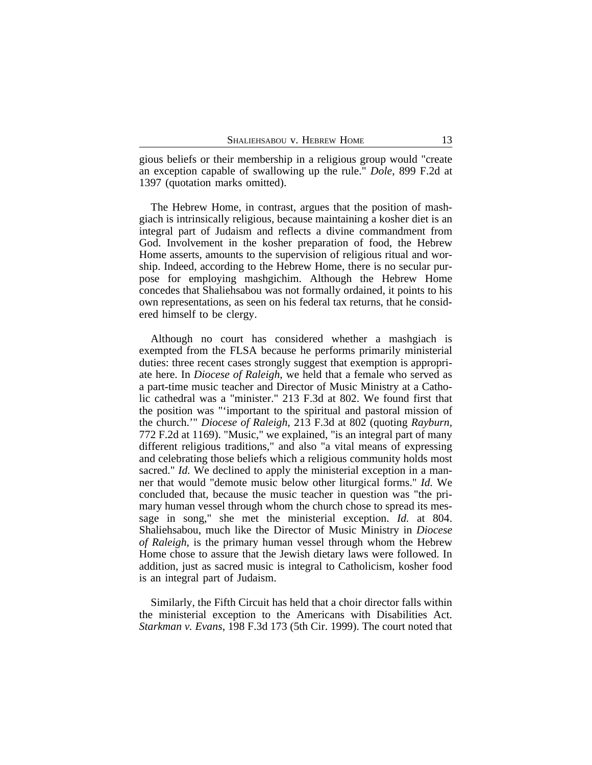gious beliefs or their membership in a religious group would "create an exception capable of swallowing up the rule." *Dole*, 899 F.2d at 1397 (quotation marks omitted).

The Hebrew Home, in contrast, argues that the position of mashgiach is intrinsically religious, because maintaining a kosher diet is an integral part of Judaism and reflects a divine commandment from God. Involvement in the kosher preparation of food, the Hebrew Home asserts, amounts to the supervision of religious ritual and worship. Indeed, according to the Hebrew Home, there is no secular purpose for employing mashgichim. Although the Hebrew Home concedes that Shaliehsabou was not formally ordained, it points to his own representations, as seen on his federal tax returns, that he considered himself to be clergy.

Although no court has considered whether a mashgiach is exempted from the FLSA because he performs primarily ministerial duties: three recent cases strongly suggest that exemption is appropriate here. In *Diocese of Raleigh*, we held that a female who served as a part-time music teacher and Director of Music Ministry at a Catholic cathedral was a "minister." 213 F.3d at 802. We found first that the position was "'important to the spiritual and pastoral mission of the church.'" *Diocese of Raleigh*, 213 F.3d at 802 (quoting *Rayburn*, 772 F.2d at 1169). "Music," we explained, "is an integral part of many different religious traditions," and also "a vital means of expressing and celebrating those beliefs which a religious community holds most sacred." *Id.* We declined to apply the ministerial exception in a manner that would "demote music below other liturgical forms." *Id.* We concluded that, because the music teacher in question was "the primary human vessel through whom the church chose to spread its message in song," she met the ministerial exception. *Id.* at 804. Shaliehsabou, much like the Director of Music Ministry in *Diocese of Raleigh*, is the primary human vessel through whom the Hebrew Home chose to assure that the Jewish dietary laws were followed. In addition, just as sacred music is integral to Catholicism, kosher food is an integral part of Judaism.

Similarly, the Fifth Circuit has held that a choir director falls within the ministerial exception to the Americans with Disabilities Act. *Starkman v. Evans*, 198 F.3d 173 (5th Cir. 1999). The court noted that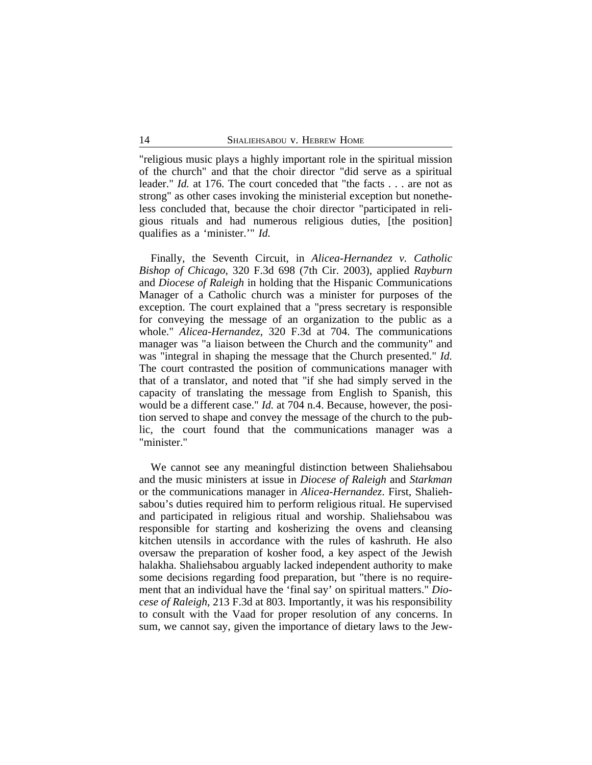"religious music plays a highly important role in the spiritual mission of the church" and that the choir director "did serve as a spiritual leader." *Id.* at 176. The court conceded that "the facts . . . are not as strong" as other cases invoking the ministerial exception but nonetheless concluded that, because the choir director "participated in religious rituals and had numerous religious duties, [the position] qualifies as a 'minister.'" *Id.*

Finally, the Seventh Circuit, in *Alicea-Hernandez v. Catholic Bishop of Chicago*, 320 F.3d 698 (7th Cir. 2003), applied *Rayburn* and *Diocese of Raleigh* in holding that the Hispanic Communications Manager of a Catholic church was a minister for purposes of the exception. The court explained that a "press secretary is responsible for conveying the message of an organization to the public as a whole." *Alicea-Hernandez*, 320 F.3d at 704. The communications manager was "a liaison between the Church and the community" and was "integral in shaping the message that the Church presented." *Id.* The court contrasted the position of communications manager with that of a translator, and noted that "if she had simply served in the capacity of translating the message from English to Spanish, this would be a different case." *Id.* at 704 n.4. Because, however, the position served to shape and convey the message of the church to the public, the court found that the communications manager was a "minister."

We cannot see any meaningful distinction between Shaliehsabou and the music ministers at issue in *Diocese of Raleigh* and *Starkman* or the communications manager in *Alicea-Hernandez*. First, Shaliehsabou's duties required him to perform religious ritual. He supervised and participated in religious ritual and worship. Shaliehsabou was responsible for starting and kosherizing the ovens and cleansing kitchen utensils in accordance with the rules of kashruth. He also oversaw the preparation of kosher food, a key aspect of the Jewish halakha. Shaliehsabou arguably lacked independent authority to make some decisions regarding food preparation, but "there is no requirement that an individual have the 'final say' on spiritual matters." *Diocese of Raleigh*, 213 F.3d at 803. Importantly, it was his responsibility to consult with the Vaad for proper resolution of any concerns. In sum, we cannot say, given the importance of dietary laws to the Jew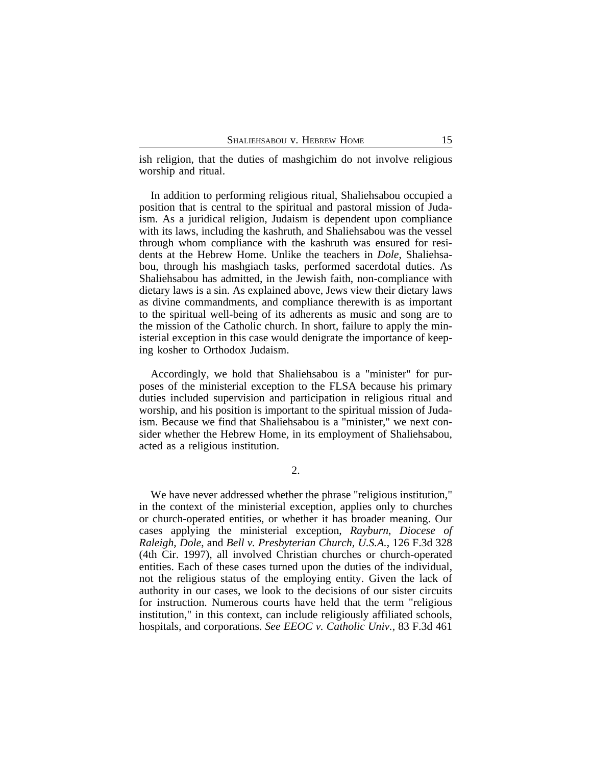ish religion, that the duties of mashgichim do not involve religious worship and ritual.

In addition to performing religious ritual, Shaliehsabou occupied a position that is central to the spiritual and pastoral mission of Judaism. As a juridical religion, Judaism is dependent upon compliance with its laws, including the kashruth, and Shaliehsabou was the vessel through whom compliance with the kashruth was ensured for residents at the Hebrew Home. Unlike the teachers in *Dole*, Shaliehsabou, through his mashgiach tasks, performed sacerdotal duties. As Shaliehsabou has admitted, in the Jewish faith, non-compliance with dietary laws is a sin. As explained above, Jews view their dietary laws as divine commandments, and compliance therewith is as important to the spiritual well-being of its adherents as music and song are to the mission of the Catholic church. In short, failure to apply the ministerial exception in this case would denigrate the importance of keeping kosher to Orthodox Judaism.

Accordingly, we hold that Shaliehsabou is a "minister" for purposes of the ministerial exception to the FLSA because his primary duties included supervision and participation in religious ritual and worship, and his position is important to the spiritual mission of Judaism. Because we find that Shaliehsabou is a "minister," we next consider whether the Hebrew Home, in its employment of Shaliehsabou, acted as a religious institution.

2.

We have never addressed whether the phrase "religious institution," in the context of the ministerial exception, applies only to churches or church-operated entities, or whether it has broader meaning. Our cases applying the ministerial exception, *Rayburn*, *Diocese of Raleigh*, *Dole*, and *Bell v. Presbyterian Church, U.S.A.*, 126 F.3d 328 (4th Cir. 1997), all involved Christian churches or church-operated entities. Each of these cases turned upon the duties of the individual, not the religious status of the employing entity. Given the lack of authority in our cases, we look to the decisions of our sister circuits for instruction. Numerous courts have held that the term "religious institution," in this context, can include religiously affiliated schools, hospitals, and corporations. *See EEOC v. Catholic Univ.*, 83 F.3d 461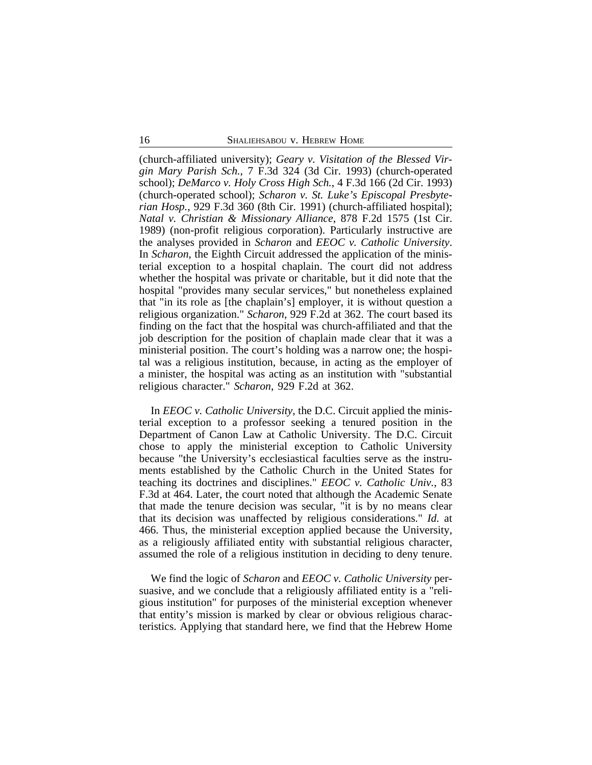(church-affiliated university); *Geary v. Visitation of the Blessed Virgin Mary Parish Sch.*, 7 F.3d 324 (3d Cir. 1993) (church-operated school); *DeMarco v. Holy Cross High Sch.*, 4 F.3d 166 (2d Cir. 1993) (church-operated school); *Scharon v. St. Luke's Episcopal Presbyterian Hosp.*, 929 F.3d 360 (8th Cir. 1991) (church-affiliated hospital); *Natal v. Christian & Missionary Alliance*, 878 F.2d 1575 (1st Cir. 1989) (non-profit religious corporation). Particularly instructive are the analyses provided in *Scharon* and *EEOC v. Catholic University*. In *Scharon*, the Eighth Circuit addressed the application of the ministerial exception to a hospital chaplain. The court did not address whether the hospital was private or charitable, but it did note that the hospital "provides many secular services," but nonetheless explained that "in its role as [the chaplain's] employer, it is without question a religious organization." *Scharon*, 929 F.2d at 362. The court based its finding on the fact that the hospital was church-affiliated and that the job description for the position of chaplain made clear that it was a ministerial position. The court's holding was a narrow one; the hospital was a religious institution, because, in acting as the employer of a minister, the hospital was acting as an institution with "substantial religious character." *Scharon*, 929 F.2d at 362.

In *EEOC v. Catholic University*, the D.C. Circuit applied the ministerial exception to a professor seeking a tenured position in the Department of Canon Law at Catholic University. The D.C. Circuit chose to apply the ministerial exception to Catholic University because "the University's ecclesiastical faculties serve as the instruments established by the Catholic Church in the United States for teaching its doctrines and disciplines." *EEOC v. Catholic Univ.*, 83 F.3d at 464. Later, the court noted that although the Academic Senate that made the tenure decision was secular, "it is by no means clear that its decision was unaffected by religious considerations." *Id.* at 466. Thus, the ministerial exception applied because the University, as a religiously affiliated entity with substantial religious character, assumed the role of a religious institution in deciding to deny tenure.

We find the logic of *Scharon* and *EEOC v. Catholic University* persuasive, and we conclude that a religiously affiliated entity is a "religious institution" for purposes of the ministerial exception whenever that entity's mission is marked by clear or obvious religious characteristics. Applying that standard here, we find that the Hebrew Home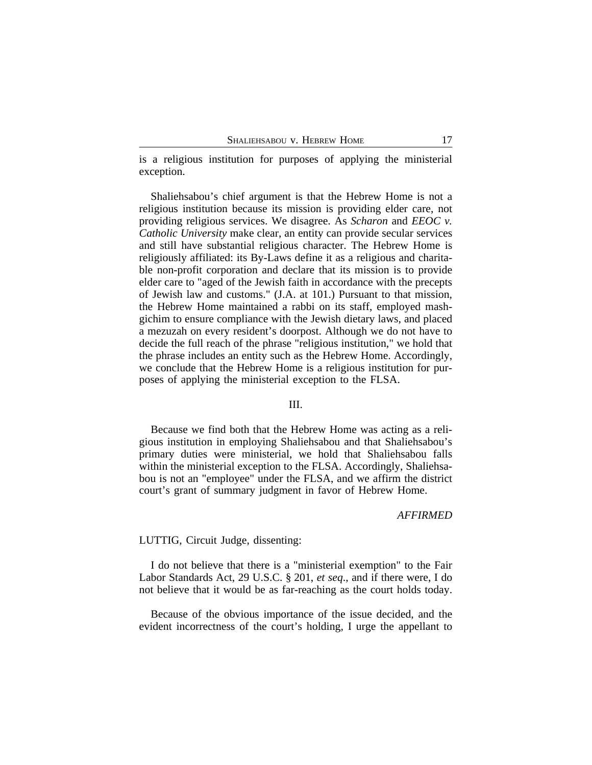is a religious institution for purposes of applying the ministerial exception.

Shaliehsabou's chief argument is that the Hebrew Home is not a religious institution because its mission is providing elder care, not providing religious services. We disagree. As *Scharon* and *EEOC v. Catholic University* make clear, an entity can provide secular services and still have substantial religious character. The Hebrew Home is religiously affiliated: its By-Laws define it as a religious and charitable non-profit corporation and declare that its mission is to provide elder care to "aged of the Jewish faith in accordance with the precepts of Jewish law and customs." (J.A. at 101.) Pursuant to that mission, the Hebrew Home maintained a rabbi on its staff, employed mashgichim to ensure compliance with the Jewish dietary laws, and placed a mezuzah on every resident's doorpost. Although we do not have to decide the full reach of the phrase "religious institution," we hold that the phrase includes an entity such as the Hebrew Home. Accordingly, we conclude that the Hebrew Home is a religious institution for purposes of applying the ministerial exception to the FLSA.

#### III.

Because we find both that the Hebrew Home was acting as a religious institution in employing Shaliehsabou and that Shaliehsabou's primary duties were ministerial, we hold that Shaliehsabou falls within the ministerial exception to the FLSA. Accordingly, Shaliehsabou is not an "employee" under the FLSA, and we affirm the district court's grant of summary judgment in favor of Hebrew Home.

## *AFFIRMED*

## LUTTIG, Circuit Judge, dissenting:

I do not believe that there is a "ministerial exemption" to the Fair Labor Standards Act, 29 U.S.C. § 201, *et seq*., and if there were, I do not believe that it would be as far-reaching as the court holds today.

Because of the obvious importance of the issue decided, and the evident incorrectness of the court's holding, I urge the appellant to